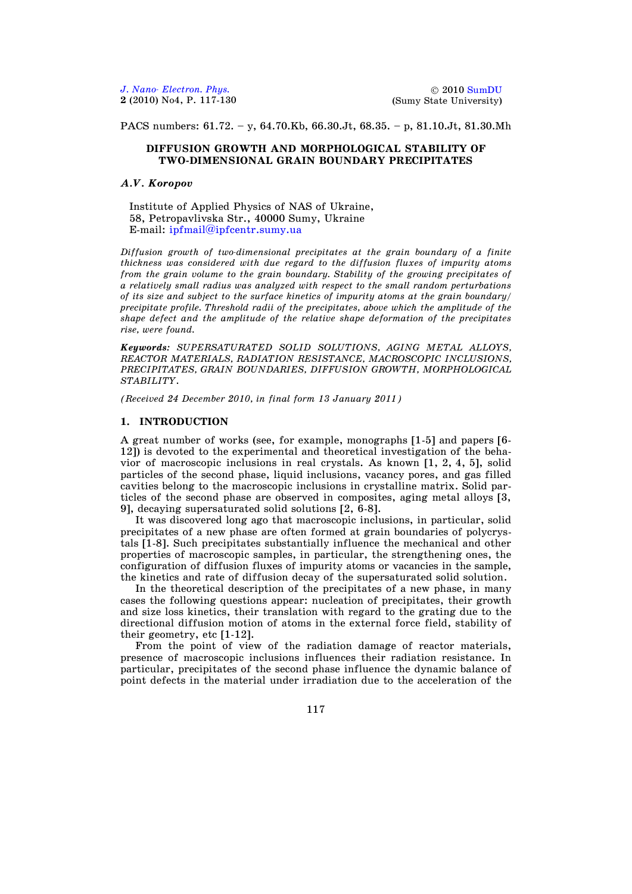2010 [SumDU](http://sumdu.edu.ua/int/) (Sumy State University)

PACS numbers: 61.72. – y, 64.70.Kb, 66.30.Jt, 68.35. – p, 81.10.Jt, 81.30.Mh

#### **DIFFUSION GROWTH AND MORPHOLOGICAL STABILITY OF TWO-DIMENSIONAL GRAIN BOUNDARY PRECIPITATES**

### *A.V. Koropov*

Institute of Applied Physics of NAS of Ukraine, 58, Petropavlivska Str., 40000 Sumy, Ukraine E-mail: [ipfmail@ipfcentr.sumy.ua](mailto:ipfmail@ipfcentr.sumy.ua)

*Diffusion growth of two-dimensional precipitates at the grain boundary of a finite thickness was considered with due regard to the diffusion fluxes of impurity atoms from the grain volume to the grain boundary. Stability of the growing precipitates of a relatively small radius was analyzed with respect to the small random perturbations of its size and subject to the surface kinetics of impurity atoms at the grain boundary/ precipitate profile. Threshold radii of the precipitates, above which the amplitude of the shape defect and the amplitude of the relative shape deformation of the precipitates rise, were found.*

*Keywords: SUPERSATURATED SOLID SOLUTIONS, AGING METAL ALLOYS, REACTOR MATERIALS, RADIATION RESISTANCE, MACROSCOPIC INCLUSIONS, PRECIPITATES, GRAIN BOUNDARIES, DIFFUSION GROWTH, MORPHOLOGICAL STABILITY*.

*(Received 24 December 2010, in final form 13 January 2011)*

#### **1. INTRODUCTION**

A great number of works (see, for example, monographs [1-5] and papers [6- 12]) is devoted to the experimental and theoretical investigation of the behavior of macroscopic inclusions in real crystals. As known [1, 2, 4, 5], solid particles of the second phase, liquid inclusions, vacancy pores, and gas filled cavities belong to the macroscopic inclusions in crystalline matrix. Solid particles of the second phase are observed in composites, aging metal alloys [3, 9], decaying supersaturated solid solutions [2, 6-8].

It was discovered long ago that macroscopic inclusions, in particular, solid precipitates of a new phase are often formed at grain boundaries of polycrystals [1-8]. Such precipitates substantially influence the mechanical and other properties of macroscopic samples, in particular, the strengthening ones, the configuration of diffusion fluxes of impurity atoms or vacancies in the sample, the kinetics and rate of diffusion decay of the supersaturated solid solution.

In the theoretical description of the precipitates of a new phase, in many cases the following questions appear: nucleation of precipitates, their growth and size loss kinetics, their translation with regard to the grating due to the directional diffusion motion of atoms in the external force field, stability of their geometry, etc [1-12].

From the point of view of the radiation damage of reactor materials, presence of macroscopic inclusions influences their radiation resistance. In particular, precipitates of the second phase influence the dynamic balance of point defects in the material under irradiation due to the acceleration of the

117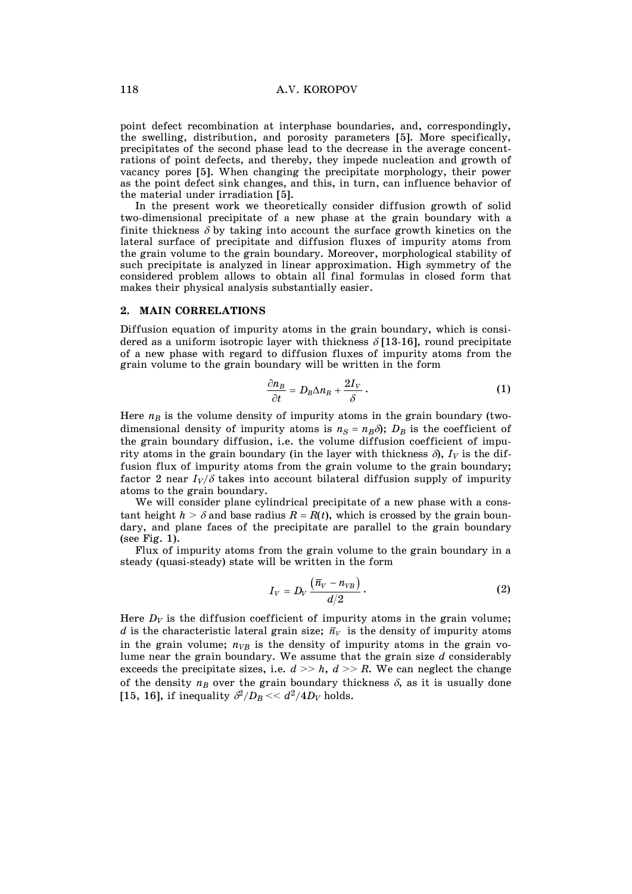point defect recombination at interphase boundaries, and, correspondingly, the swelling, distribution, and porosity parameters [5]. More specifically, precipitates of the second phase lead to the decrease in the average concentrations of point defects, and thereby, they impede nucleation and growth of vacancy pores [5]. When changing the precipitate morphology, their power as the point defect sink changes, and this, in turn, can influence behavior of the material under irradiation [5].

 In the present work we theoretically consider diffusion growth of solid two-dimensional precipitate of a new phase at the grain boundary with a finite thickness  $\delta$  by taking into account the surface growth kinetics on the lateral surface of precipitate and diffusion fluxes of impurity atoms from the grain volume to the grain boundary. Moreover, morphological stability of such precipitate is analyzed in linear approximation. High symmetry of the considered problem allows to obtain all final formulas in closed form that makes their physical analysis substantially easier.

# **2. MAIN CORRELATIONS**

Diffusion equation of impurity atoms in the grain boundary, which is considered as a uniform isotropic layer with thickness  $\delta$  [13-16], round precipitate of a new phase with regard to diffusion fluxes of impurity atoms from the grain volume to the grain boundary will be written in the form

$$
\frac{\partial n_B}{\partial t} = D_B \Delta n_B + \frac{2I_V}{\delta} \,. \tag{1}
$$

Here  $n_B$  is the volume density of impurity atoms in the grain boundary (twodimensional density of impurity atoms is  $n_S = n_B \delta$ ;  $D_B$  is the coefficient of the grain boundary diffusion, i.e. the volume diffusion coefficient of impurity atoms in the grain boundary (in the layer with thickness  $\delta$ ),  $I_V$  is the diffusion flux of impurity atoms from the grain volume to the grain boundary; factor 2 near  $I_V/\delta$  takes into account bilateral diffusion supply of impurity atoms to the grain boundary.

 We will consider plane cylindrical precipitate of a new phase with a constant height  $h > \delta$  and base radius  $R = R(t)$ , which is crossed by the grain boundary, and plane faces of the precipitate are parallel to the grain boundary (see Fig. 1).

 Flux of impurity atoms from the grain volume to the grain boundary in a steady (quasi-steady) state will be written in the form

$$
I_V = D_V \frac{(\bar{n}_V - n_{VB})}{d/2} \,. \tag{2}
$$

Here  $D_V$  is the diffusion coefficient of impurity atoms in the grain volume; *d* is the characteristic lateral grain size;  $\bar{n}_V$  is the density of impurity atoms in the grain volume;  $n_{VB}$  is the density of impurity atoms in the grain volume near the grain boundary. We assume that the grain size *d* considerably exceeds the precipitate sizes, i.e.  $d \gg h$ ,  $d \gg R$ . We can neglect the change of the density  $n_B$  over the grain boundary thickness  $\delta$ , as it is usually done [15, 16], if inequality  $\partial^2/D_B \ll d^2/4D_V$  holds.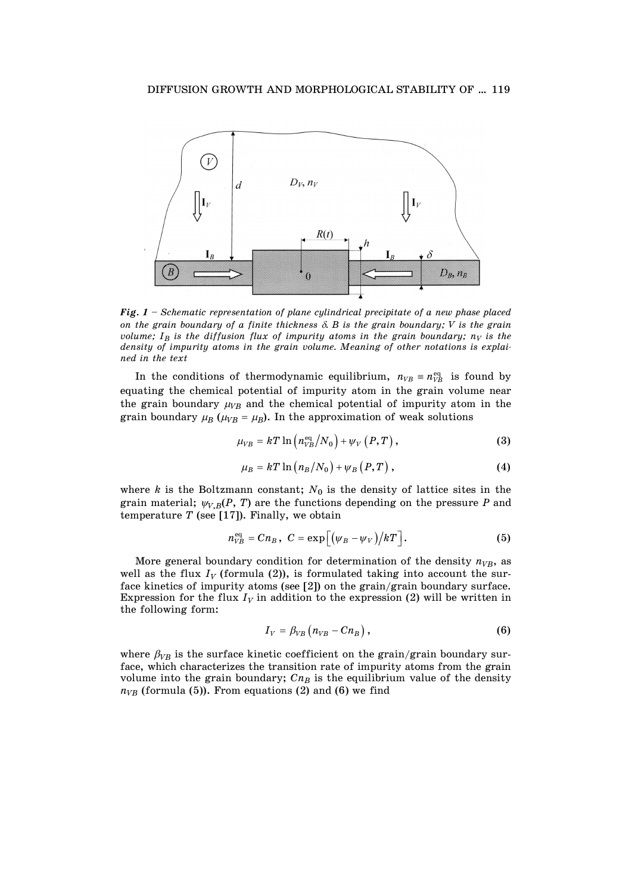

*Fig. 1 – Schematic representation of plane cylindrical precipitate of a new phase placed on the grain boundary of a finite thickness* G*. B is the grain boundary; V is the grain volume;*  $I_B$  *is the diffusion flux of impurity atoms in the grain boundary;*  $n_V$  *is the density of impurity atoms in the grain volume. Meaning of other notations is explained in the text* 

In the conditions of thermodynamic equilibrium,  $n_{VB} \equiv n_{VB}^{\text{eq}}$  is found by equating the chemical potential of impurity atom in the grain volume near the grain boundary  $\mu_{VB}$  and the chemical potential of impurity atom in the grain boundary  $\mu_B$  ( $\mu_{VB} = \mu_B$ ). In the approximation of weak solutions

$$
\mu_{VB} = kT \ln \left( n_{VB}^{\text{eq}} / N_0 \right) + \psi_V \left( P, T \right), \tag{3}
$$

$$
\mu_B = kT \ln \left( n_B / N_0 \right) + \psi_B \left( P, T \right), \tag{4}
$$

where  $k$  is the Boltzmann constant;  $N_0$  is the density of lattice sites in the grain material;  $\psi_{V,B}(P, T)$  are the functions depending on the pressure *P* and temperature  $T$  (see [17]). Finally, we obtain

$$
n_{VB}^{\text{eq}} = C n_B, \ C = \exp\left[ \left( \psi_B - \psi_V \right) / kT \right]. \tag{5}
$$

More general boundary condition for determination of the density  $n_{VR}$ , as well as the flux  $I_V$  (formula (2)), is formulated taking into account the surface kinetics of impurity atoms (see [2]) on the grain/grain boundary surface. Expression for the flux  $I_V$  in addition to the expression (2) will be written in the following form:

$$
I_V = \beta_{VB} \left( n_{VB} - C n_B \right), \tag{6}
$$

where  $\beta_{VB}$  is the surface kinetic coefficient on the grain/grain boundary surface, which characterizes the transition rate of impurity atoms from the grain volume into the grain boundary;  $Cn<sub>B</sub>$  is the equilibrium value of the density  $n_{VB}$  (formula (5)). From equations (2) and (6) we find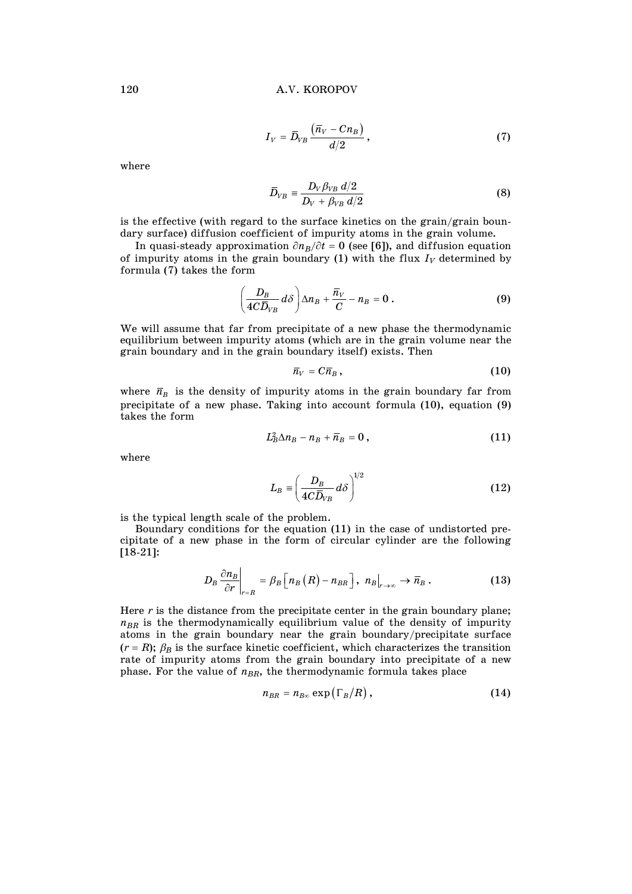$$
I_V = \overline{D}_{VB} \frac{(\overline{n}_V - C n_B)}{d/2}, \qquad (7)
$$

where

$$
\bar{D}_{VB} \equiv \frac{D_V \beta_{VB} d/2}{D_V + \beta_{VB} d/2} \tag{8}
$$

is the effective (with regard to the surface kinetics on the grain/grain boundary surface) diffusion coefficient of impurity atoms in the grain volume.

In quasi-steady approximation  $\partial n_B/\partial t = 0$  (see [6]), and diffusion equation of impurity atoms in the grain boundary  $(1)$  with the flux  $I_V$  determined by formula (7) takes the form

$$
\left(\frac{D_B}{4C\overline{D}_{VB}}d\delta\right)\Delta n_B + \frac{\overline{n}_V}{C} - n_B = 0.
$$
\n(9)

We will assume that far from precipitate of a new phase the thermodynamic equilibrium between impurity atoms (which are in the grain volume near the grain boundary and in the grain boundary itself) exists. Then

$$
\overline{n}_V = C \overline{n}_B , \qquad (10)
$$

where  $\bar{n}_B$  is the density of impurity atoms in the grain boundary far from precipitate of a new phase. Taking into account formula (10), equation (9) takes the form

$$
L_B^2 \Delta n_B - n_B + \overline{n}_B = 0 , \qquad (11)
$$

where

$$
L_B \equiv \left(\frac{D_B}{4C\bar{D}_{VB}}d\delta\right)^{1/2} \tag{12}
$$

is the typical length scale of the problem.

 Boundary conditions for the equation (11) in the case of undistorted precipitate of a new phase in the form of circular cylinder are the following [18-21]:

$$
D_B \frac{\partial n_B}{\partial r}\bigg|_{r=R} = \beta_B \Big[n_B(R) - n_{BR}\Big], \ n_B\big|_{r\to\infty} \to \overline{n}_B. \tag{13}
$$

Here *r* is the distance from the precipitate center in the grain boundary plane;  $n_{BR}$  is the thermodynamically equilibrium value of the density of impurity atoms in the grain boundary near the grain boundary/precipitate surface  $(r = R)$ ;  $\beta_B$  is the surface kinetic coefficient, which characterizes the transition rate of impurity atoms from the grain boundary into precipitate of a new phase. For the value of  $n_{BR}$ , the thermodynamic formula takes place

$$
n_{BR} = n_{B\infty} \exp\left(\Gamma_B/R\right),\tag{14}
$$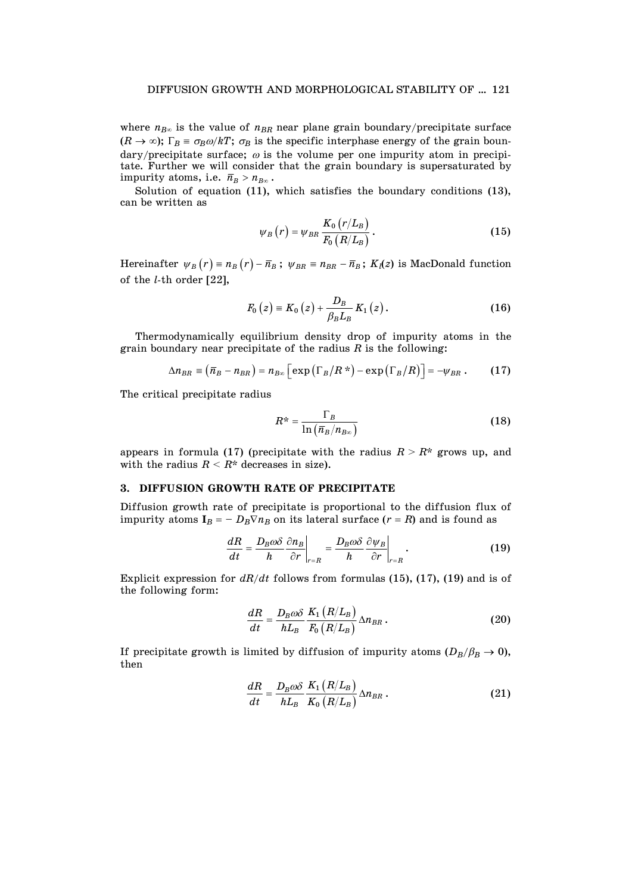where  $n_{B\infty}$  is the value of  $n_{BR}$  near plane grain boundary/precipitate surface  $(R \to \infty)$ ;  $\Gamma_B \equiv \sigma_B \omega / kT$ ;  $\sigma_B$  is the specific interphase energy of the grain boundary/precipitate surface;  $\omega$  is the volume per one impurity atom in precipitate. Further we will consider that the grain boundary is supersaturated by impurity atoms, i.e.  $\bar{n}_B > n_{B\infty}$ .

 Solution of equation (11), which satisfies the boundary conditions (13), can be written as

$$
\psi_B(r) = \psi_{BR} \frac{K_0 \left( r/L_B \right)}{F_0 \left( R/L_B \right)}.
$$
\n(15)

Hereinafter  $\psi_B(r) = n_B(r) - \bar{n}_B$ ;  $\psi_{BR} = n_{BR} - \bar{n}_B$ ;  $K_l(z)$  is MacDonald function of the *l*-th order [22],

$$
F_0(z) = K_0(z) + \frac{D_B}{\beta_B L_B} K_1(z).
$$
 (16)

 Thermodynamically equilibrium density drop of impurity atoms in the grain boundary near precipitate of the radius *R* is the following:

$$
\Delta n_{BR} \equiv (\overline{n}_B - n_{BR}) = n_{B\infty} \Big[ \exp\big(\Gamma_B/R^*\big) - \exp\big(\Gamma_B/R\big) \Big] = -\psi_{BR} \ . \tag{17}
$$

The critical precipitate radius

$$
R^* = \frac{\Gamma_B}{\ln\left(\overline{n}_B/n_{B\infty}\right)}\tag{18}
$$

appears in formula (17) (precipitate with the radius  $R > R^*$  grows up, and with the radius  $R < R^*$  decreases in size).

# **3. DIFFUSION GROWTH RATE OF PRECIPITATE**

Diffusion growth rate of precipitate is proportional to the diffusion flux of impurity atoms  $I_B = -D_B \nabla n_B$  on its lateral surface  $(r = R)$  and is found as

$$
\frac{dR}{dt} = \frac{D_B \omega \delta}{h} \frac{\partial n_B}{\partial r}\bigg|_{r=R} = \frac{D_B \omega \delta}{h} \frac{\partial \psi_B}{\partial r}\bigg|_{r=R}.
$$
 (19)

Explicit expression for *dR/dt* follows from formulas (15), (17), (19) and is of the following form:

$$
\frac{dR}{dt} = \frac{D_B \omega \delta}{h L_B} \frac{K_1 (R/L_B)}{F_0 (R/L_B)} \Delta n_{BR} \,. \tag{20}
$$

If precipitate growth is limited by diffusion of impurity atoms  $(D_B/\beta_B \rightarrow 0)$ , then

$$
\frac{dR}{dt} = \frac{D_B \omega \delta}{h L_B} \frac{K_1 (R/L_B)}{K_0 (R/L_B)} \Delta n_{BR} \,. \tag{21}
$$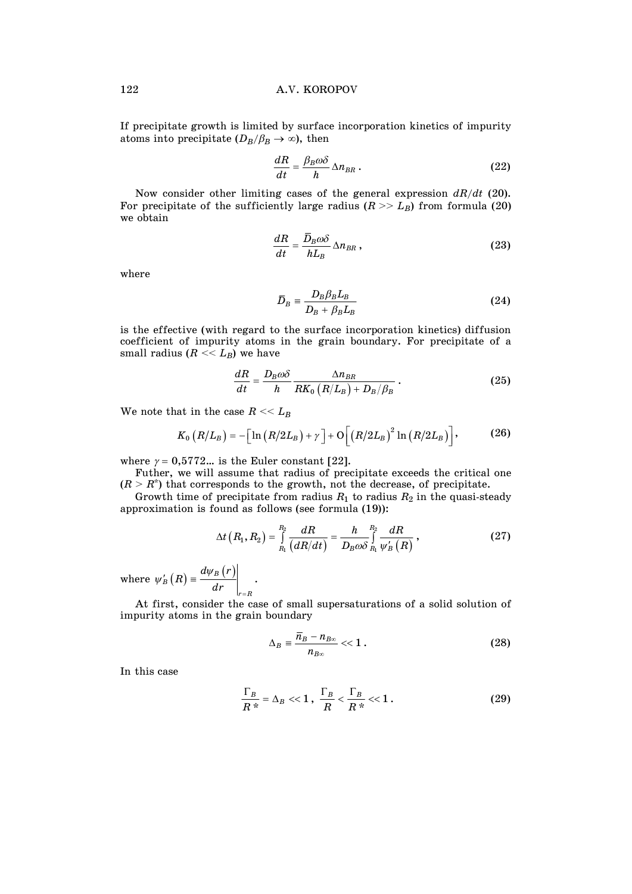If precipitate growth is limited by surface incorporation kinetics of impurity atoms into precipitate  $(D_B/\beta_B \rightarrow \infty)$ , then

$$
\frac{dR}{dt} = \frac{\beta_B \omega \delta}{h} \Delta n_{BR} \,. \tag{22}
$$

 Now consider other limiting cases of the general expression *dR/dt* (20). For precipitate of the sufficiently large radius  $(R \gg L_B)$  from formula (20) we obtain

$$
\frac{dR}{dt} = \frac{\bar{D}_B \omega \delta}{h L_B} \Delta n_{BR} \,, \tag{23}
$$

where

$$
\overline{D}_B = \frac{D_B \beta_B L_B}{D_B + \beta_B L_B} \tag{24}
$$

is the effective (with regard to the surface incorporation kinetics) diffusion coefficient of impurity atoms in the grain boundary. For precipitate of a small radius  $(R \ll L_B)$  we have

$$
\frac{dR}{dt} = \frac{D_B \omega \delta}{h} \frac{\Delta n_{BR}}{RK_0 \left(R/L_B\right) + D_B/\beta_B} \,. \tag{25}
$$

We note that in the case  $R \ll L_B$ 

$$
K_0\left(R/L_B\right) = -\left[\ln\left(R/2L_B\right) + \gamma\right] + \mathcal{O}\left[\left(R/2L_B\right)^2\ln\left(R/2L_B\right)\right],\tag{26}
$$

where  $\gamma = 0.5772...$  is the Euler constant [22].

 Futher, we will assume that radius of precipitate exceeds the critical one  $(R > R^*)$  that corresponds to the growth, not the decrease, of precipitate.

Growth time of precipitate from radius  $R_1$  to radius  $R_2$  in the quasi-steady approximation is found as follows (see formula (19)):

$$
\Delta t\left(R_{1},R_{2}\right)=\int\limits_{R_{1}}^{R_{2}}\frac{dR}{\left(dR/dt\right)}=\frac{h}{D_{B}\omega\delta}\int\limits_{R_{1}}^{R_{2}}\frac{dR}{\psi_{B}'\left(R\right)}\,,\tag{27}
$$

where  $\psi'_{B}(R) \equiv \frac{d\psi_{B}(r)}{dr}$  $\overline{a}$  $L_B'(R) = \frac{a \psi_B}{I}$ *r R*  $\left( R \right) \equiv \frac{d \psi_B \left( r \right)}{dr}$ .

 At first, consider the case of small supersaturations of a solid solution of impurity atoms in the grain boundary

$$
\Delta_B = \frac{\overline{n}_B - n_{B\infty}}{n_{B\infty}} \ll 1. \tag{28}
$$

In this case

$$
\frac{\Gamma_B}{R^*} = \Delta_B \ll 1, \ \frac{\Gamma_B}{R} < \frac{\Gamma_B}{R^*} < 1. \tag{29}
$$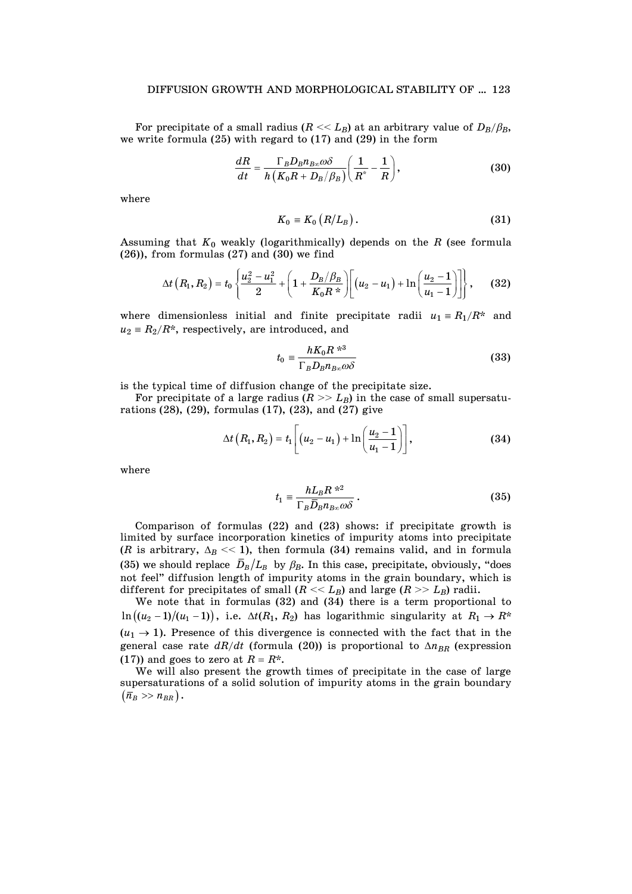For precipitate of a small radius  $(R \ll L_B)$  at an arbitrary value of  $D_B/\beta_B$ , we write formula (25) with regard to (17) and (29) in the form

$$
\frac{dR}{dt} = \frac{\Gamma_B D_B n_{B\infty} \omega \delta}{h \left( K_0 R + D_B / \beta_B \right)} \left( \frac{1}{R^*} - \frac{1}{R} \right),\tag{30}
$$

where

$$
K_0 \equiv K_0 \left( R / L_B \right). \tag{31}
$$

Assuming that  $K_0$  weakly (logarithmically) depends on the  $R$  (see formula (26)), from formulas (27) and (30) we find

$$
\Delta t\left(R_1,R_2\right) = t_0 \left\{\frac{u_2^2 - u_1^2}{2} + \left(1 + \frac{D_B/\beta_B}{K_0 R^*}\right) \left[ \left(u_2 - u_1\right) + \ln\left(\frac{u_2 - 1}{u_1 - 1}\right) \right] \right\},\qquad(32)
$$

where dimensionless initial and finite precipitate radii  $u_1 = R_1/R^*$  and  $u_2 = R_2/R^*$ , respectively, are introduced, and

$$
t_0 = \frac{hK_0 R^{*3}}{\Gamma_B D_B n_{B\infty} \omega \delta} \tag{33}
$$

is the typical time of diffusion change of the precipitate size.

For precipitate of a large radius  $(R \gg L_B)$  in the case of small supersaturations (28), (29), formulas (17), (23), and (27) give

$$
\Delta t (R_1, R_2) = t_1 \left[ (u_2 - u_1) + \ln \left( \frac{u_2 - 1}{u_1 - 1} \right) \right],
$$
 (34)

where

$$
t_1 \equiv \frac{hL_B R^{2}}{\Gamma_B \overline{D}_B n_{B\infty} \omega \delta} \,. \tag{35}
$$

 Comparison of formulas (22) and (23) shows: if precipitate growth is limited by surface incorporation kinetics of impurity atoms into precipitate (*R* is arbitrary,  $\Delta_B \ll 1$ ), then formula (34) remains valid, and in formula (35) we should replace  $\bar{D}_B/L_B$  by  $\beta_B$ . In this case, precipitate, obviously, "does not feel" diffusion length of impurity atoms in the grain boundary, which is different for precipitates of small  $(R \ll L_B)$  and large  $(R \gg L_B)$  radii.

 We note that in formulas (32) and (34) there is a term proportional to  $\ln((u_2-1)/(u_1-1))$ , i.e.  $\Delta t(R_1, R_2)$  has logarithmic singularity at  $R_1 \rightarrow R^*$  $(u_1 \rightarrow 1)$ . Presence of this divergence is connected with the fact that in the general case rate  $dR/dt$  (formula (20)) is proportional to  $\Delta n_{BR}$  (expression (17)) and goes to zero at  $R = R^*$ .

 We will also present the growth times of precipitate in the case of large supersaturations of a solid solution of impurity atoms in the grain boundary  $(\bar{n}_B \gg n_{BR})$ .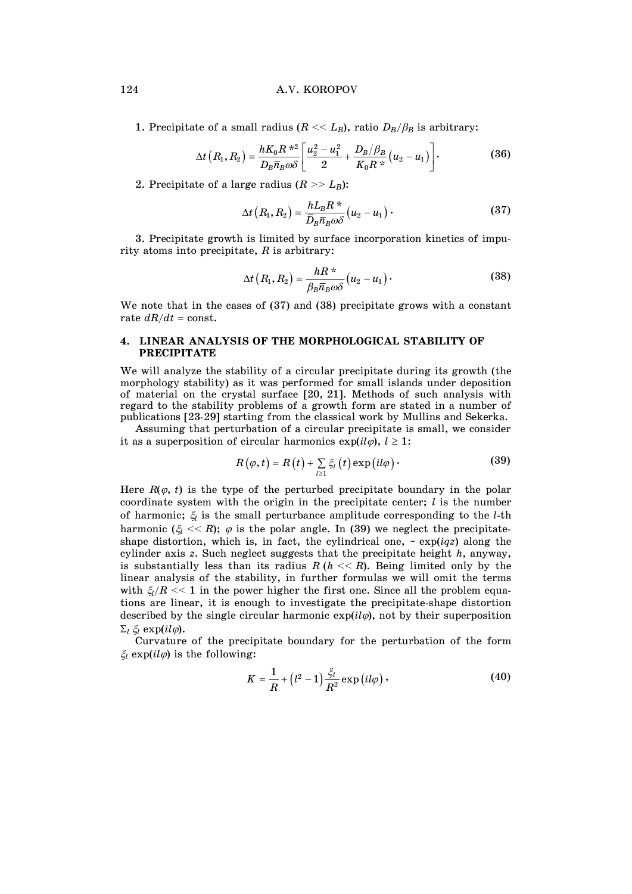# 124 A.V. KOROPOV

1. Precipitate of a small radius ( $R \ll L_B$ ), ratio  $D_B/\beta_B$  is arbitrary:

$$
\Delta t (R_1, R_2) = \frac{h K_0 R^{2/2}}{D_B \overline{n}_B \omega \delta} \left[ \frac{u_2^2 - u_1^2}{2} + \frac{D_B/\beta_B}{K_0 R^{2/2}} (u_2 - u_1) \right].
$$
 (36)

2. Precipitate of a large radius  $(R \gg L_B)$ :

$$
\Delta t\left(R_1, R_2\right) = \frac{hL_B R^*}{\bar{D}_B \bar{n}_B \omega \delta} \left(u_2 - u_1\right). \tag{37}
$$

 3. Precipitate growth is limited by surface incorporation kinetics of impurity atoms into precipitate, *R* is arbitrary:

$$
\Delta t\left(R_1, R_2\right) = \frac{hR^*}{\beta_B \overline{n}_B \omega \delta} \left(u_2 - u_1\right). \tag{38}
$$

We note that in the cases of (37) and (38) precipitate grows with a constant rate  $dR/dt = \text{const.}$ 

# **4. LINEAR ANALYSIS OF THE MORPHOLOGICAL STABILITY OF PRECIPITATE**

We will analyze the stability of a circular precipitate during its growth (the morphology stability) as it was performed for small islands under deposition of material on the crystal surface [20, 21]. Methods of such analysis with regard to the stability problems of a growth form are stated in a number of publications [23-29] starting from the classical work by Mullins and Sekerka.

 Assuming that perturbation of a circular precipitate is small, we consider it as a superposition of circular harmonics  $exp(i l\varphi), l \ge 1$ :

$$
R(\varphi, t) = R(t) + \sum_{l \geq 1} \xi_l(t) \exp\left(i l \varphi\right).
$$
 (39)

Here  $R(\varphi, t)$  is the type of the perturbed precipitate boundary in the polar coordinate system with the origin in the precipitate center; *l* is the number of harmonic;  $\xi$  is the small perturbance amplitude corresponding to the *l*-th harmonic  $(\xi \ll R)$ ;  $\varphi$  is the polar angle. In (39) we neglect the precipitateshape distortion, which is, in fact, the cylindrical one,  $\sim \exp(iqz)$  along the cylinder axis *z*. Such neglect suggests that the precipitate height *h*, anyway, is substantially less than its radius  $R(h \ll R)$ . Being limited only by the linear analysis of the stability, in further formulas we will omit the terms with  $\zeta/R \ll 1$  in the power higher the first one. Since all the problem equations are linear, it is enough to investigate the precipitate-shape distortion described by the single circular harmonic  $exp(i l\varphi)$ , not by their superposition  $\Sigma_l \xi_l \exp(il\varphi)$ .

 Curvature of the precipitate boundary for the perturbation of the form  $\xi_l$  exp( $il\varphi$ ) is the following:

$$
K = \frac{1}{R} + (l^2 - 1)\frac{\xi_l}{R^2} \exp\left(i l \varphi\right),\tag{40}
$$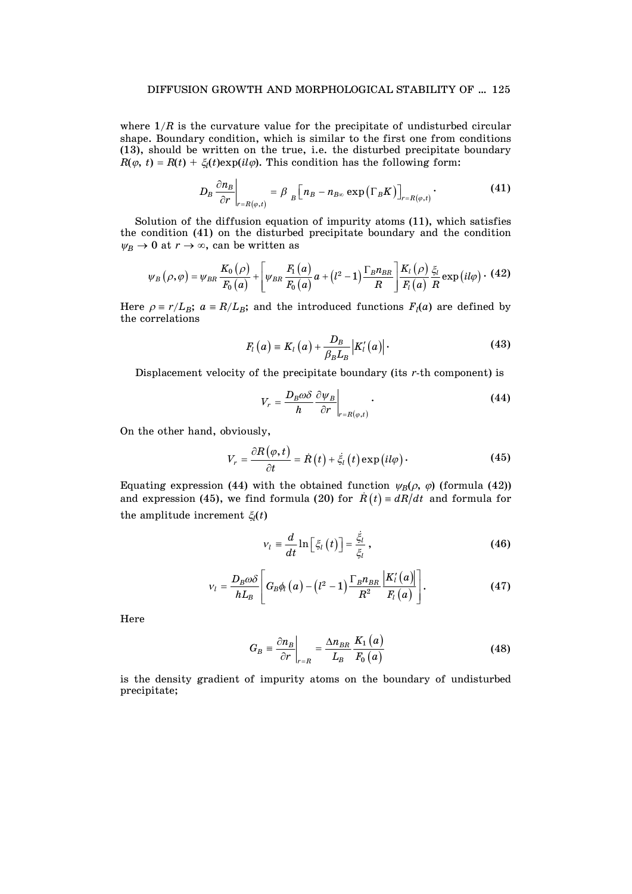where  $1/R$  is the curvature value for the precipitate of undisturbed circular shape. Boundary condition, which is similar to the first one from conditions (13), should be written on the true, i.e. the disturbed precipitate boundary  $R(\varphi, t) = R(t) + \xi_l(t) \exp(i l \varphi)$ . This condition has the following form:

$$
D_B \frac{\partial n_B}{\partial r}\bigg|_{r=R(\varphi,t)} = \beta \Bigg[ n \Big[ n \Big] - n \Big[ n \Big] \exp\left(\Gamma_B K\right) \Big]_{r=R(\varphi,t)}.
$$
 (41)

 Solution of the diffusion equation of impurity atoms (11), which satisfies the condition (41) on the disturbed precipitate boundary and the condition  $\psi_B \to 0$  at  $r \to \infty$ , can be written as

$$
\psi_B\left(\rho,\varphi\right) = \psi_{BR}\frac{K_0\left(\rho\right)}{F_0\left(a\right)} + \left[\psi_{BR}\frac{F_1\left(a\right)}{F_0\left(a\right)}a + \left(l^2-1\right)\frac{\Gamma_B n_{BR}}{R}\right]\frac{K_l\left(\rho\right)}{F_l\left(a\right)}\frac{\xi_l}{R}\exp\left(il\varphi\right) \cdot (42)
$$

Here  $\rho = r/L_B$ ;  $a = R/L_B$ ; and the introduced functions  $F_l(a)$  are defined by the correlations

$$
F_l(a) \equiv K_l(a) + \frac{D_B}{\beta_B L_B} \Big| K'_l(a) \Big| \,.
$$

Displacement velocity of the precipitate boundary (its *r*-th component) is

$$
V_r = \frac{D_B \omega \delta}{h} \frac{\partial \psi_B}{\partial r}\bigg|_{r = R(\varphi, t)}.
$$
\n(44)

On the other hand, obviously,

$$
V_r = \frac{\partial R(\varphi, t)}{\partial t} = \dot{R}(t) + \dot{\xi}_l(t) \exp\left(i l \varphi\right).
$$
 (45)

Equating expression (44) with the obtained function  $\psi_B(\rho, \varphi)$  (formula (42)) and expression (45), we find formula (20) for  $\dot{R}(t) = dR/dt$  and formula for the amplitude increment  $\xi_l(t)$ 

$$
v_{l} \equiv \frac{d}{dt} \ln \left[ \xi_{l} \left( t \right) \right] = \frac{\dot{\xi}_{l}}{\xi_{l}} , \qquad (46)
$$

$$
v_{l} = \frac{D_{B}\omega\delta}{hL_{B}} \left[ G_{B}\phi_{l}\left(a\right) - \left(l^{2} - 1\right) \frac{\Gamma_{B}n_{BR}}{R^{2}} \frac{\left|K_{l}'\left(a\right)\right|}{F_{l}\left(a\right)} \right]. \tag{47}
$$

Here

$$
G_B \equiv \frac{\partial n_B}{\partial r}\bigg|_{r=R} = \frac{\Delta n_{BR}}{L_B} \frac{K_1(a)}{F_0(a)}\tag{48}
$$

is the density gradient of impurity atoms on the boundary of undisturbed precipitate;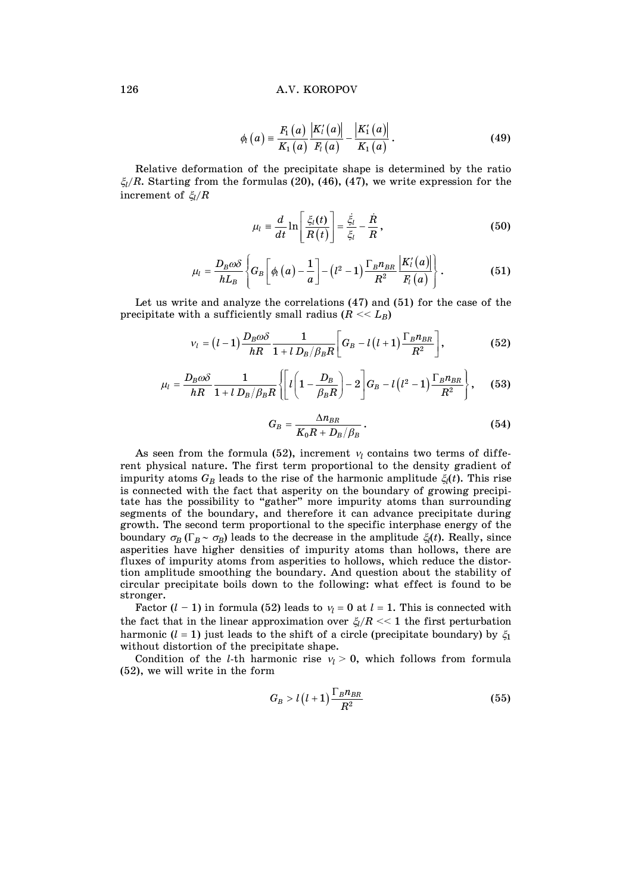$$
\phi_{l}(a) = \frac{F_{1}(a)}{K_{1}(a)} \frac{|K'_{l}(a)|}{F_{l}(a)} - \frac{|K'_{1}(a)|}{K_{1}(a)}.
$$
\n(49)

 Relative deformation of the precipitate shape is determined by the ratio  $\zeta_l/R$ . Starting from the formulas (20), (46), (47), we write expression for the increment of  $\zeta_l/R$ 

$$
\mu_l = \frac{d}{dt} \ln \left[ \frac{\xi_l(t)}{R(t)} \right] = \frac{\dot{\xi}_l}{\xi_l} - \frac{\dot{R}}{R}, \qquad (50)
$$

$$
\mu_{l} = \frac{D_{B}\omega\delta}{hL_{B}}\left\{G_{B}\left[\phi_{l}\left(a\right)-\frac{1}{a}\right]-\left(l^{2}-1\right)\frac{\Gamma_{B}n_{BR}}{R^{2}}\frac{\left|K_{l}'\left(a\right)\right|}{F_{l}\left(a\right)}\right\}.
$$
(51)

 Let us write and analyze the correlations (47) and (51) for the case of the precipitate with a sufficiently small radius  $(R \ll L_B)$ 

$$
v_l = (l-1)\frac{D_B\omega\delta}{hR}\frac{1}{1+l D_B/\beta_B R}\bigg[G_B - l(l+1)\frac{\Gamma_B n_{BR}}{R^2}\bigg],
$$
(52)

$$
\mu_{l} = \frac{D_{B}\omega\delta}{hR} \frac{1}{1+l D_{B}/\beta_{B}R} \left\{ \left[ l \left( 1 - \frac{D_{B}}{\beta_{B}R} \right) - 2 \right] G_{B} - l \left( l^{2} - 1 \right) \frac{\Gamma_{B}n_{BR}}{R^{2}} \right\},
$$
 (53)

$$
G_B = \frac{\Delta n_{BR}}{K_0 R + D_B/\beta_B} \,. \tag{54}
$$

As seen from the formula (52), increment  $v_l$  contains two terms of different physical nature. The first term proportional to the density gradient of impurity atoms  $G_B$  leads to the rise of the harmonic amplitude  $\xi_l(t)$ . This rise is connected with the fact that asperity on the boundary of growing precipitate has the possibility to "gather" more impurity atoms than surrounding segments of the boundary, and therefore it can advance precipitate during growth. The second term proportional to the specific interphase energy of the boundary  $\sigma_B(\Gamma_B \sim \sigma_B)$  leads to the decrease in the amplitude  $\xi_l(t)$ . Really, since asperities have higher densities of impurity atoms than hollows, there are fluxes of impurity atoms from asperities to hollows, which reduce the distortion amplitude smoothing the boundary. And question about the stability of circular precipitate boils down to the following: what effect is found to be stronger.

Factor  $(l - 1)$  in formula (52) leads to  $v_l = 0$  at  $l = 1$ . This is connected with the fact that in the linear approximation over  $\xi_l/R \ll 1$  the first perturbation harmonic  $(l = 1)$  just leads to the shift of a circle (precipitate boundary) by  $\xi_1$ without distortion of the precipitate shape.

Condition of the *l*-th harmonic rise  $v_l > 0$ , which follows from formula (52), we will write in the form

$$
G_B > l(l+1) \frac{\Gamma_B n_{BR}}{R^2} \tag{55}
$$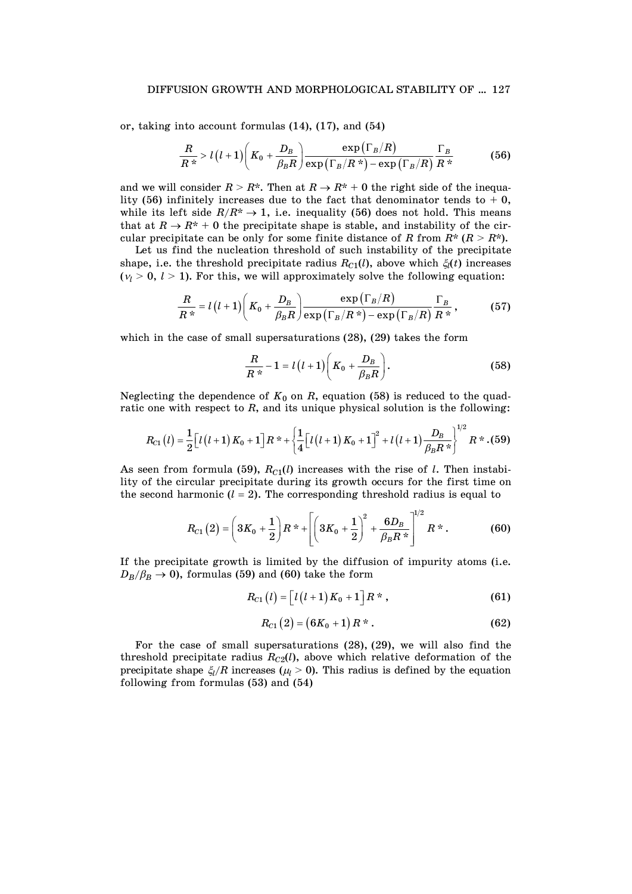## DIFFUSION GROWTH AND MORPHOLOGICAL STABILITY OF … 127

or, taking into account formulas (14), (17), and (54)

$$
\frac{R}{R^*} > l(l+1)\bigg(K_0 + \frac{D_B}{\beta_B R}\bigg) \frac{\exp\left(\Gamma_B/R\right)}{\exp\left(\Gamma_B/R^*\right) - \exp\left(\Gamma_B/R\right)} \frac{\Gamma_B}{R^*} \tag{56}
$$

and we will consider  $R > R^*$ . Then at  $R \to R^* + 0$  the right side of the inequality (56) infinitely increases due to the fact that denominator tends to  $+$  0, while its left side  $R/R^* \rightarrow 1$ , i.e. inequality (56) does not hold. This means that at  $R \to R^* + 0$  the precipitate shape is stable, and instability of the circular precipitate can be only for some finite distance of *R* from  $R^* (R > R^*)$ .

 Let us find the nucleation threshold of such instability of the precipitate shape, i.e. the threshold precipitate radius  $R_{C1}(l)$ , above which  $\xi_l(t)$  increases  $(\gamma > 0, l > 1)$ . For this, we will approximately solve the following equation:

$$
\frac{R}{R^*} = l(l+1)\left(K_0 + \frac{D_B}{\beta_B R}\right) \frac{\exp\left(\Gamma_B/R\right)}{\exp\left(\Gamma_B/R^*\right) - \exp\left(\Gamma_B/R\right)} \frac{\Gamma_B}{R^*},\tag{57}
$$

which in the case of small supersaturations (28), (29) takes the form

$$
\frac{R}{R^*} - 1 = l(l+1)\bigg(K_0 + \frac{D_B}{\beta_B R}\bigg). \tag{58}
$$

Neglecting the dependence of  $K_0$  on  $R$ , equation (58) is reduced to the quadratic one with respect to *R*, and its unique physical solution is the following:

$$
R_{C1}(l) = \frac{1}{2} \Big[ l(l+1) K_0 + 1 \Big] R^* + \left\{ \frac{1}{4} \Big[ l(l+1) K_0 + 1 \Big]^2 + l(l+1) \frac{D_B}{\beta_B R^*} \right\}^{1/2} R^* . (59)
$$

As seen from formula (59),  $R_{C1}(l)$  increases with the rise of *l*. Then instability of the circular precipitate during its growth occurs for the first time on the second harmonic  $(l = 2)$ . The corresponding threshold radius is equal to

$$
R_{C1}(2) = \left(3K_0 + \frac{1}{2}\right)R^* + \left[\left(3K_0 + \frac{1}{2}\right)^2 + \frac{6D_B}{\beta_B R^*}\right]^{1/2}R^*.
$$
 (60)

If the precipitate growth is limited by the diffusion of impurity atoms (i.e.  $D_B/\beta_B \rightarrow 0$ , formulas (59) and (60) take the form

$$
R_{C1}(l) = \left[l(l+1)K_0+1\right]R^*,\tag{61}
$$

$$
R_{C1}(2) = (6K_0 + 1) R^*.
$$
 (62)

 For the case of small supersaturations (28), (29), we will also find the threshold precipitate radius  $R_{C2}(l)$ , above which relative deformation of the precipitate shape  $\xi_l/R$  increases ( $\mu_l > 0$ ). This radius is defined by the equation following from formulas (53) and (54)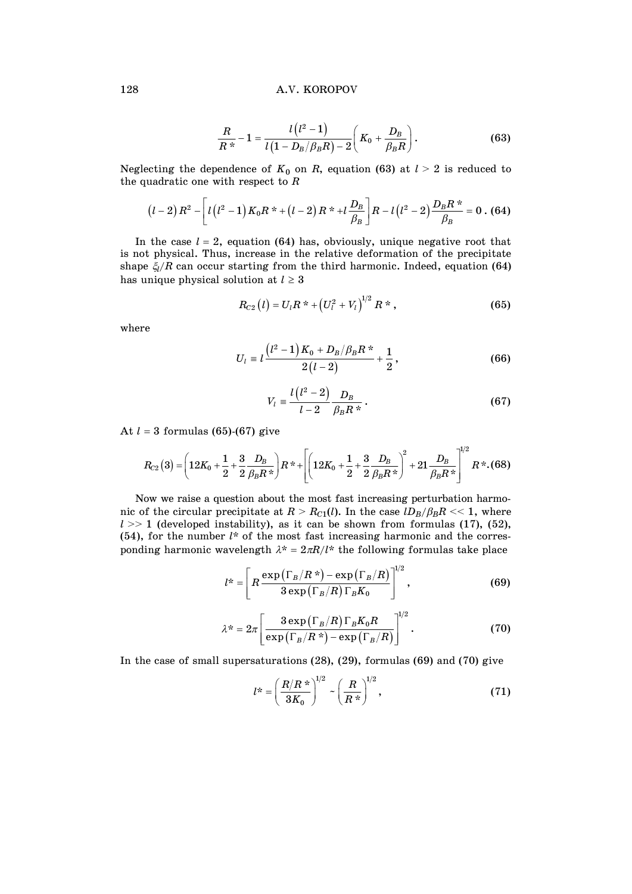### 128 A.V. KOROPOV

$$
\frac{R}{R^*} - 1 = \frac{l(l^2 - 1)}{l(1 - D_B/\beta_B R) - 2} \left(K_0 + \frac{D_B}{\beta_B R}\right).
$$
\n(63)

Neglecting the dependence of  $K_0$  on  $R$ , equation (63) at  $l > 2$  is reduced to the quadratic one with respect to *R*

$$
(l-2) R^{2} - \left[ l(l^{2}-1) K_{0} R^{*} + (l-2) R^{*} + l \frac{D_{B}}{\beta_{B}} \right] R - l(l^{2}-2) \frac{D_{B} R^{*}}{\beta_{B}} = 0 \tag{64}
$$

In the case  $l = 2$ , equation (64) has, obviously, unique negative root that is not physical. Thus, increase in the relative deformation of the precipitate shape  $\xi_l/R$  can occur starting from the third harmonic. Indeed, equation (64) has unique physical solution at  $l \geq 3$ 

$$
R_{C2}(l) = U_l R^* + (U_l^2 + V_l)^{1/2} R^*, \qquad (65)
$$

where

$$
U_{l} = l \frac{\left(l^{2} - 1\right) K_{0} + D_{B} / \beta_{B} R^{*}}{2(l - 2)} + \frac{1}{2},
$$
\n(66)

$$
V_l = \frac{l(l^2 - 2)}{l - 2} \frac{D_B}{\beta_B R^*}.
$$
 (67)

At  $l = 3$  formulas (65)-(67) give

$$
R_{C2}(3) = \left(12K_0 + \frac{1}{2} + \frac{3}{2}\frac{D_B}{\beta_B R^*}\right)R^* + \left[\left(12K_0 + \frac{1}{2} + \frac{3}{2}\frac{D_B}{\beta_B R^*}\right)^2 + 21\frac{D_B}{\beta_B R^*}\right]^{1/2}R^* \cdot (68)
$$

 Now we raise a question about the most fast increasing perturbation harmonic of the circular precipitate at  $R > R_{C1}(l)$ . In the case  $lD_B/\beta_B R \ll 1$ , where  $l \gg 1$  (developed instability), as it can be shown from formulas (17), (52), (54), for the number *l*\* of the most fast increasing harmonic and the corresponding harmonic wavelength  $\lambda^* = 2\pi R/l^*$  the following formulas take place

$$
l^* = \left[ R \frac{\exp\left(\Gamma_B/R^*\right) - \exp\left(\Gamma_B/R\right)}{3 \exp\left(\Gamma_B/R\right) \Gamma_B K_0} \right]^{1/2}, \tag{69}
$$

$$
\lambda^* = 2\pi \left[ \frac{3 \exp \left( \Gamma_B / R \right) \Gamma_B K_0 R}{\exp \left( \Gamma_B / R \right)^* - \exp \left( \Gamma_B / R \right)} \right]^{1/2} . \tag{70}
$$

In the case of small supersaturations (28), (29), formulas (69) and (70) give

$$
l^* = \left(\frac{R/R \cdot \text{m}}{3K_0}\right)^{1/2} \sim \left(\frac{R}{R \cdot \text{m}}\right)^{1/2},\tag{71}
$$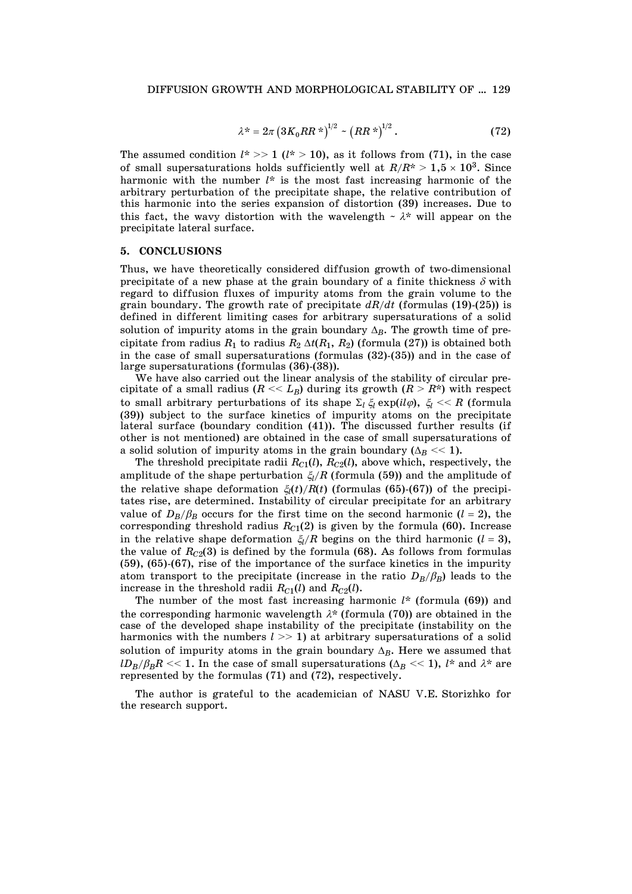$$
\lambda^* = 2\pi \left( 3K_0RR^*)^{1/2} - \left( RR^* \right)^{1/2} \,. \tag{72}
$$

The assumed condition  $l^*$  >> 1 ( $l^*$  > 10), as it follows from (71), in the case of small supersaturations holds sufficiently well at  $R/R^* > 1.5 \times 10^3$ . Since harmonic with the number *l*\* is the most fast increasing harmonic of the arbitrary perturbation of the precipitate shape, the relative contribution of this harmonic into the series expansion of distortion (39) increases. Due to this fact, the wavy distortion with the wavelength  $\sim \lambda^*$  will appear on the precipitate lateral surface.

# **5. CONCLUSIONS**

Thus, we have theoretically considered diffusion growth of two-dimensional precipitate of a new phase at the grain boundary of a finite thickness  $\delta$  with regard to diffusion fluxes of impurity atoms from the grain volume to the grain boundary. The growth rate of precipitate *dR/dt* (formulas (19)-(25)) is defined in different limiting cases for arbitrary supersaturations of a solid solution of impurity atoms in the grain boundary  $\Delta_B$ . The growth time of precipitate from radius  $R_1$  to radius  $R_2 \Delta t(R_1, R_2)$  (formula (27)) is obtained both in the case of small supersaturations (formulas (32)-(35)) and in the case of large supersaturations (formulas (36)-(38)).

 We have also carried out the linear analysis of the stability of circular precipitate of a small radius  $(R \ll L_B)$  during its growth  $(R > R^*)$  with respect to small arbitrary perturbations of its shape  $\Sigma_l \xi_l \exp(i l \varphi)$ ,  $\xi_l \ll R$  (formula (39)) subject to the surface kinetics of impurity atoms on the precipitate lateral surface (boundary condition (41)). The discussed further results (if other is not mentioned) are obtained in the case of small supersaturations of a solid solution of impurity atoms in the grain boundary  $(\Delta_B \ll 1)$ .

The threshold precipitate radii  $R_{C1}(l)$ ,  $R_{C2}(l)$ , above which, respectively, the amplitude of the shape perturbation  $\zeta_l/R$  (formula (59)) and the amplitude of the relative shape deformation  $\xi_l(t)/R(t)$  (formulas (65)-(67)) of the precipitates rise, are determined. Instability of circular precipitate for an arbitrary value of  $D_B/\beta_B$  occurs for the first time on the second harmonic  $(l = 2)$ , the corresponding threshold radius  $R_{C1}(2)$  is given by the formula (60). Increase in the relative shape deformation  $\zeta_l/R$  begins on the third harmonic ( $l = 3$ ), the value of  $R_{C2}(3)$  is defined by the formula (68). As follows from formulas (59), (65)-(67), rise of the importance of the surface kinetics in the impurity atom transport to the precipitate (increase in the ratio  $D_B/\beta_B$ ) leads to the increase in the threshold radii  $R_{C1}(l)$  and  $R_{C2}(l)$ .

 The number of the most fast increasing harmonic *l*\* (formula (69)) and the corresponding harmonic wavelength  $\lambda^*$  (formula (70)) are obtained in the case of the developed shape instability of the precipitate (instability on the harmonics with the numbers  $l \gg 1$ ) at arbitrary supersaturations of a solid solution of impurity atoms in the grain boundary  $\Delta_B$ . Here we assumed that  $lD_B/\beta_B R \ll 1$ . In the case of small supersaturations ( $\Delta_B \ll 1$ ), *l*\* and  $\lambda$ \* are represented by the formulas (71) and (72), respectively.

 The author is grateful to the academician of NASU V.E. Storizhko for the research support.